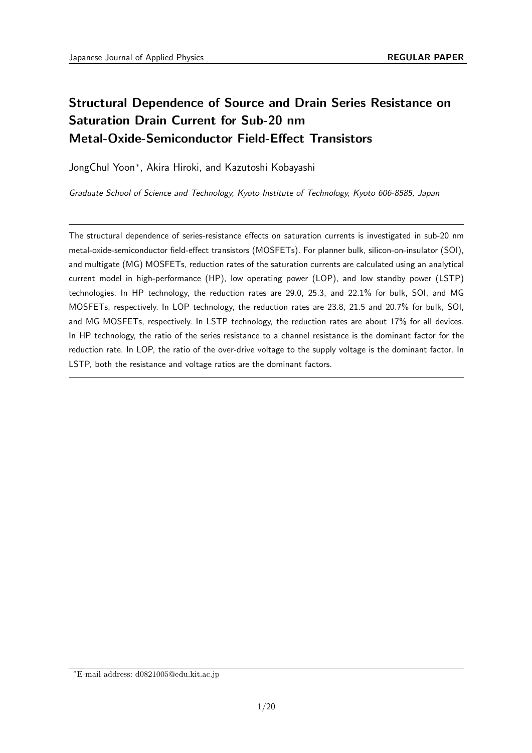# **Structural Dependence of Source and Drain Series Resistance on Saturation Drain Current for Sub-20 nm Metal-Oxide-Semiconductor Field-Effect Transistors**

JongChul Yoon*<sup>∗</sup>* , Akira Hiroki, and Kazutoshi Kobayashi

*Graduate School of Science and Technology, Kyoto Institute of Technology, Kyoto 606-8585, Japan*

The structural dependence of series-resistance effects on saturation currents is investigated in sub-20 nm metal-oxide-semiconductor field-effect transistors (MOSFETs). For planner bulk, silicon-on-insulator (SOI), and multigate (MG) MOSFETs, reduction rates of the saturation currents are calculated using an analytical current model in high-performance (HP), low operating power (LOP), and low standby power (LSTP) technologies. In HP technology, the reduction rates are 29.0, 25.3, and 22.1% for bulk, SOI, and MG MOSFETs, respectively. In LOP technology, the reduction rates are 23.8, 21.5 and 20.7% for bulk, SOI, and MG MOSFETs, respectively. In LSTP technology, the reduction rates are about 17% for all devices. In HP technology, the ratio of the series resistance to a channel resistance is the dominant factor for the reduction rate. In LOP, the ratio of the over-drive voltage to the supply voltage is the dominant factor. In LSTP, both the resistance and voltage ratios are the dominant factors.

*<sup>∗</sup>*E-mail address: d0821005@edu.kit.ac.jp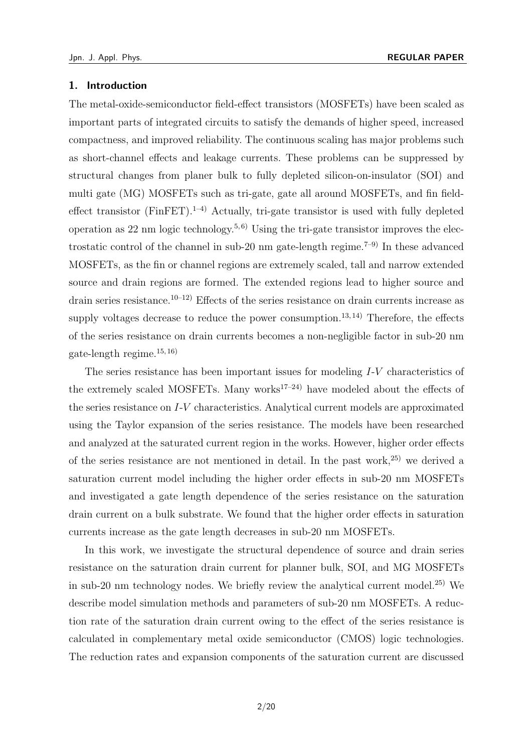#### **1. Introduction**

The metal-oxide-semiconductor field-effect transistors (MOSFETs) have been scaled as important parts of integrated circuits to satisfy the demands of higher speed, increased compactness, and improved reliability. The continuous scaling has major problems such as short-channel effects and leakage currents. These problems can be suppressed by structural changes from planer bulk to fully depleted silicon-on-insulator (SOI) and multi gate (MG) MOSFETs such as tri-gate, gate all around MOSFETs, and fin fieldeffect transistor (FinFET).<sup>1–4)</sup> Actually, tri-gate transistor is used with fully depleted operation as 22 nm logic technology.<sup>5,6)</sup> Using the tri-gate transistor improves the electrostatic control of the channel in sub-20 nm gate-length regime.<sup>7–9)</sup> In these advanced MOSFETs, as the fin or channel regions are extremely scaled, tall and narrow extended source and drain regions are formed. The extended regions lead to higher source and drain series resistance.<sup>10–12</sup>) Effects of the series resistance on drain currents increase as supply voltages decrease to reduce the power consumption.<sup>13, 14</sup> Therefore, the effects of the series resistance on drain currents becomes a non-negligible factor in sub-20 nm gate-length regime.  $^{15, 16)}$ 

The series resistance has been important issues for modeling *I*-*V* characteristics of the extremely scaled MOSFETs. Many works<sup>17–24)</sup> have modeled about the effects of the series resistance on *I*-*V* characteristics. Analytical current models are approximated using the Taylor expansion of the series resistance. The models have been researched and analyzed at the saturated current region in the works. However, higher order effects of the series resistance are not mentioned in detail. In the past work,  $25$  we derived a saturation current model including the higher order effects in sub-20 nm MOSFETs and investigated a gate length dependence of the series resistance on the saturation drain current on a bulk substrate. We found that the higher order effects in saturation currents increase as the gate length decreases in sub-20 nm MOSFETs.

In this work, we investigate the structural dependence of source and drain series resistance on the saturation drain current for planner bulk, SOI, and MG MOSFETs in sub-20 nm technology nodes. We briefly review the analytical current model.<sup>25)</sup> We describe model simulation methods and parameters of sub-20 nm MOSFETs. A reduction rate of the saturation drain current owing to the effect of the series resistance is calculated in complementary metal oxide semiconductor (CMOS) logic technologies. The reduction rates and expansion components of the saturation current are discussed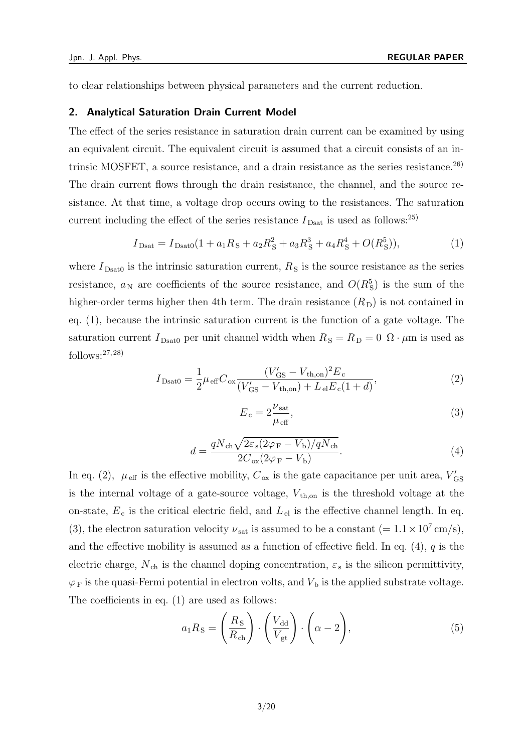to clear relationships between physical parameters and the current reduction.

#### **2. Analytical Saturation Drain Current Model**

The effect of the series resistance in saturation drain current can be examined by using an equivalent circuit. The equivalent circuit is assumed that a circuit consists of an intrinsic MOSFET, a source resistance, and a drain resistance as the series resistance.<sup>26)</sup> The drain current flows through the drain resistance, the channel, and the source resistance. At that time, a voltage drop occurs owing to the resistances. The saturation current including the effect of the series resistance  $I_{\text{Dsat}}$  is used as follows:<sup>25)</sup>

$$
I_{\text{Dsat}} = I_{\text{Dsat0}}(1 + a_1 R_S + a_2 R_S^2 + a_3 R_S^3 + a_4 R_S^4 + O(R_S^5)),\tag{1}
$$

where  $I_{\text{Dsat0}}$  is the intrinsic saturation current,  $R_{\text{S}}$  is the source resistance as the series resistance,  $a_N$  are coefficients of the source resistance, and  $O(R_S^5)$  is the sum of the higher-order terms higher then 4th term. The drain resistance  $(R<sub>D</sub>)$  is not contained in eq. (1), because the intrinsic saturation current is the function of a gate voltage. The saturation current  $I_{\text{Dsat0}}$  per unit channel width when  $R_{\text{S}} = R_{\text{D}} = 0$   $\Omega \cdot \mu \text{m}$  is used as follows: $27,28$ )

$$
I_{\text{Dsat0}} = \frac{1}{2} \mu_{\text{eff}} C_{\text{ox}} \frac{(V_{\text{GS}}' - V_{\text{th},\text{on}})^2 E_c}{(V_{\text{GS}}' - V_{\text{th},\text{on}}) + L_{\text{el}} E_c (1 + d)},
$$
(2)

$$
E_{\rm c} = 2 \frac{\nu_{\rm sat}}{\mu_{\rm eff}},\tag{3}
$$

$$
d = \frac{qN_{\rm ch}\sqrt{2\varepsilon_{\rm s}(2\varphi_{\rm F} - V_{\rm b})/qN_{\rm ch}}}{2C_{\rm ox}(2\varphi_{\rm F} - V_{\rm b})}.\tag{4}
$$

In eq. (2),  $\mu_{\text{eff}}$  is the effective mobility,  $C_{\text{ox}}$  is the gate capacitance per unit area,  $V'_{\text{GS}}$ is the internal voltage of a gate-source voltage,  $V_{\text{th,on}}$  is the threshold voltage at the on-state,  $E_c$  is the critical electric field, and  $L_{el}$  is the effective channel length. In eq. (3), the electron saturation velocity  $\nu_{\rm sat}$  is assumed to be a constant (=  $1.1 \times 10^7$  cm/s), and the effective mobility is assumed as a function of effective field. In eq. (4), *q* is the electric charge,  $N_{ch}$  is the channel doping concentration,  $\varepsilon_{s}$  is the silicon permittivity,  $\varphi_F$  is the quasi-Fermi potential in electron volts, and  $V_b$  is the applied substrate voltage. The coefficients in eq. (1) are used as follows:

$$
a_1 R_{\rm S} = \left(\frac{R_{\rm S}}{R_{\rm ch}}\right) \cdot \left(\frac{V_{\rm dd}}{V_{\rm gt}}\right) \cdot \left(\alpha - 2\right),\tag{5}
$$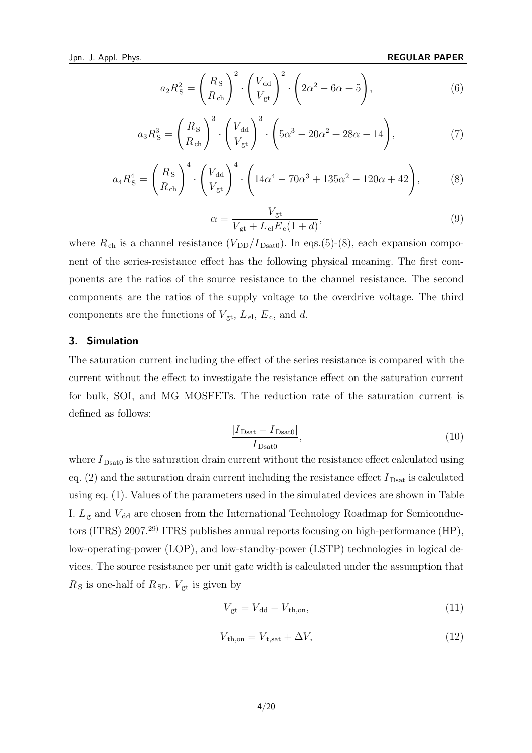$$
a_2 R_{\rm S}^2 = \left(\frac{R_{\rm S}}{R_{\rm ch}}\right)^2 \cdot \left(\frac{V_{\rm dd}}{V_{\rm gt}}\right)^2 \cdot \left(2\alpha^2 - 6\alpha + 5\right),\tag{6}
$$

$$
a_3 R_S^3 = \left(\frac{R_S}{R_{\rm ch}}\right)^3 \cdot \left(\frac{V_{\rm dd}}{V_{\rm gt}}\right)^3 \cdot \left(5\alpha^3 - 20\alpha^2 + 28\alpha - 14\right),\tag{7}
$$

$$
a_4 R_S^4 = \left(\frac{R_S}{R_{ch}}\right)^4 \cdot \left(\frac{V_{dd}}{V_{gt}}\right)^4 \cdot \left(14\alpha^4 - 70\alpha^3 + 135\alpha^2 - 120\alpha + 42\right),\tag{8}
$$

$$
\alpha = \frac{V_{\text{gt}}}{V_{\text{gt}} + L_{\text{el}} E_{\text{c}} (1 + d)},\tag{9}
$$

where  $R_{ch}$  is a channel resistance  $(V_{DD}/I_{Dsat0})$ . In eqs.(5)-(8), each expansion component of the series-resistance effect has the following physical meaning. The first components are the ratios of the source resistance to the channel resistance. The second components are the ratios of the supply voltage to the overdrive voltage. The third components are the functions of  $V_{gt}$ ,  $L_{el}$ ,  $E_c$ , and *d*.

#### **3. Simulation**

The saturation current including the effect of the series resistance is compared with the current without the effect to investigate the resistance effect on the saturation current for bulk, SOI, and MG MOSFETs. The reduction rate of the saturation current is defined as follows:

$$
\frac{|I_{\text{Dsat}} - I_{\text{Dsat0}}|}{I_{\text{Dsat0}}},\tag{10}
$$

where  $I_{\text{Dsat0}}$  is the saturation drain current without the resistance effect calculated using eq.  $(2)$  and the saturation drain current including the resistance effect  $I_{\text{Dsat}}$  is calculated using eq. (1). Values of the parameters used in the simulated devices are shown in Table I.  $L_g$  and  $V_{dd}$  are chosen from the International Technology Roadmap for Semiconductors (ITRS) 2007.29) ITRS publishes annual reports focusing on high-performance (HP), low-operating-power (LOP), and low-standby-power (LSTP) technologies in logical devices. The source resistance per unit gate width is calculated under the assumption that  $R<sub>S</sub>$  is one-half of  $R<sub>SD</sub>$ .  $V<sub>gt</sub>$  is given by

$$
V_{\rm gt} = V_{\rm dd} - V_{\rm th, on},\tag{11}
$$

$$
V_{\text{th,on}} = V_{\text{t,sat}} + \Delta V,\tag{12}
$$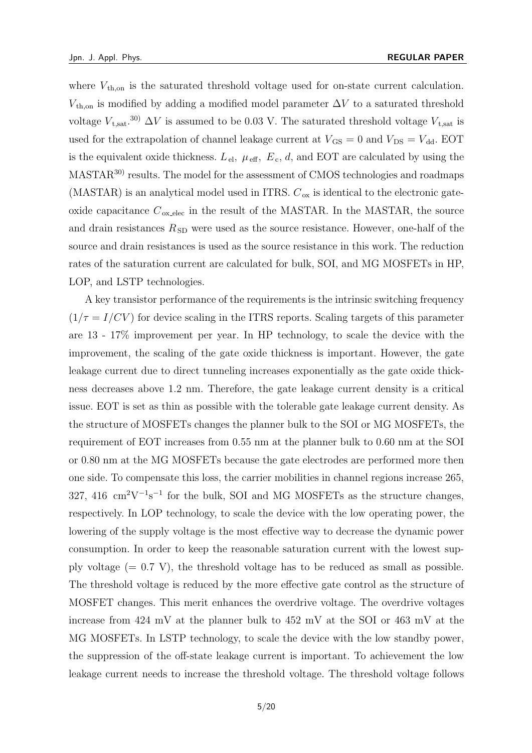where  $V_{\text{th}}$ <sub>on</sub> is the saturated threshold voltage used for on-state current calculation.  $V_{th,on}$  is modified by adding a modified model parameter  $\Delta V$  to a saturated threshold voltage  $V_{t, \text{sat}}$ <sup>30</sup>)  $\Delta V$  is assumed to be 0.03 V. The saturated threshold voltage  $V_{t, \text{sat}}$  is used for the extrapolation of channel leakage current at  $V_{\text{GS}} = 0$  and  $V_{\text{DS}} = V_{\text{dd}}$ . EOT is the equivalent oxide thickness.  $L_{el}$ ,  $\mu_{eff}$ ,  $E_c$ ,  $d$ , and EOT are calculated by using the MASTAR30) results. The model for the assessment of CMOS technologies and roadmaps (MASTAR) is an analytical model used in ITRS.  $C_{\text{ox}}$  is identical to the electronic gateoxide capacitance  $C_{\text{ox, elec}}$  in the result of the MASTAR. In the MASTAR, the source and drain resistances  $R_{SD}$  were used as the source resistance. However, one-half of the source and drain resistances is used as the source resistance in this work. The reduction rates of the saturation current are calculated for bulk, SOI, and MG MOSFETs in HP, LOP, and LSTP technologies.

A key transistor performance of the requirements is the intrinsic switching frequency  $(1/\tau = I/CV)$  for device scaling in the ITRS reports. Scaling targets of this parameter are 13 - 17% improvement per year. In HP technology, to scale the device with the improvement, the scaling of the gate oxide thickness is important. However, the gate leakage current due to direct tunneling increases exponentially as the gate oxide thickness decreases above 1.2 nm. Therefore, the gate leakage current density is a critical issue. EOT is set as thin as possible with the tolerable gate leakage current density. As the structure of MOSFETs changes the planner bulk to the SOI or MG MOSFETs, the requirement of EOT increases from 0.55 nm at the planner bulk to 0.60 nm at the SOI or 0.80 nm at the MG MOSFETs because the gate electrodes are performed more then one side. To compensate this loss, the carrier mobilities in channel regions increase 265, 327, 416 cm<sup>2</sup>V<sup>-1</sup>s<sup>-1</sup> for the bulk, SOI and MG MOSFETs as the structure changes, respectively. In LOP technology, to scale the device with the low operating power, the lowering of the supply voltage is the most effective way to decrease the dynamic power consumption. In order to keep the reasonable saturation current with the lowest supply voltage  $(= 0.7 \text{ V})$ , the threshold voltage has to be reduced as small as possible. The threshold voltage is reduced by the more effective gate control as the structure of MOSFET changes. This merit enhances the overdrive voltage. The overdrive voltages increase from 424 mV at the planner bulk to 452 mV at the SOI or 463 mV at the MG MOSFETs. In LSTP technology, to scale the device with the low standby power, the suppression of the off-state leakage current is important. To achievement the low leakage current needs to increase the threshold voltage. The threshold voltage follows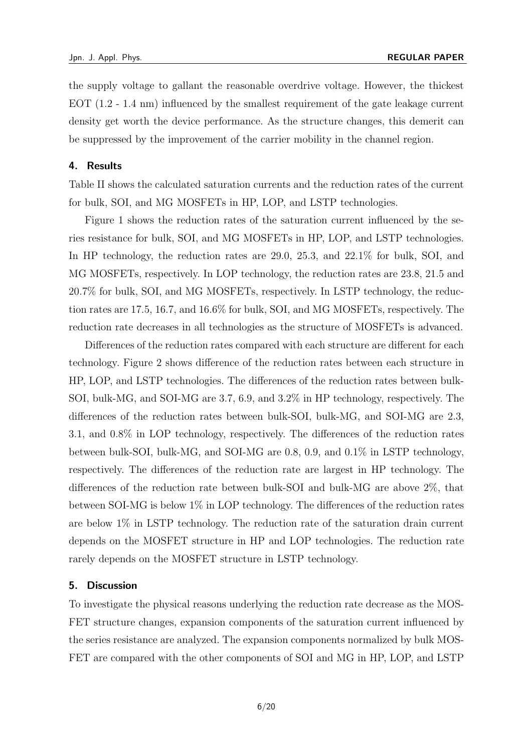the supply voltage to gallant the reasonable overdrive voltage. However, the thickest EOT (1.2 - 1.4 nm) influenced by the smallest requirement of the gate leakage current density get worth the device performance. As the structure changes, this demerit can be suppressed by the improvement of the carrier mobility in the channel region.

#### **4. Results**

Table II shows the calculated saturation currents and the reduction rates of the current for bulk, SOI, and MG MOSFETs in HP, LOP, and LSTP technologies.

Figure 1 shows the reduction rates of the saturation current influenced by the series resistance for bulk, SOI, and MG MOSFETs in HP, LOP, and LSTP technologies. In HP technology, the reduction rates are 29.0, 25.3, and 22.1% for bulk, SOI, and MG MOSFETs, respectively. In LOP technology, the reduction rates are 23.8, 21.5 and 20.7% for bulk, SOI, and MG MOSFETs, respectively. In LSTP technology, the reduction rates are 17.5, 16.7, and 16.6% for bulk, SOI, and MG MOSFETs, respectively. The reduction rate decreases in all technologies as the structure of MOSFETs is advanced.

Differences of the reduction rates compared with each structure are different for each technology. Figure 2 shows difference of the reduction rates between each structure in HP, LOP, and LSTP technologies. The differences of the reduction rates between bulk-SOI, bulk-MG, and SOI-MG are 3.7, 6.9, and 3.2% in HP technology, respectively. The differences of the reduction rates between bulk-SOI, bulk-MG, and SOI-MG are 2.3, 3.1, and 0.8% in LOP technology, respectively. The differences of the reduction rates between bulk-SOI, bulk-MG, and SOI-MG are 0.8, 0.9, and 0.1% in LSTP technology, respectively. The differences of the reduction rate are largest in HP technology. The differences of the reduction rate between bulk-SOI and bulk-MG are above 2%, that between SOI-MG is below 1% in LOP technology. The differences of the reduction rates are below 1% in LSTP technology. The reduction rate of the saturation drain current depends on the MOSFET structure in HP and LOP technologies. The reduction rate rarely depends on the MOSFET structure in LSTP technology.

## **5. Discussion**

To investigate the physical reasons underlying the reduction rate decrease as the MOS-FET structure changes, expansion components of the saturation current influenced by the series resistance are analyzed. The expansion components normalized by bulk MOS-FET are compared with the other components of SOI and MG in HP, LOP, and LSTP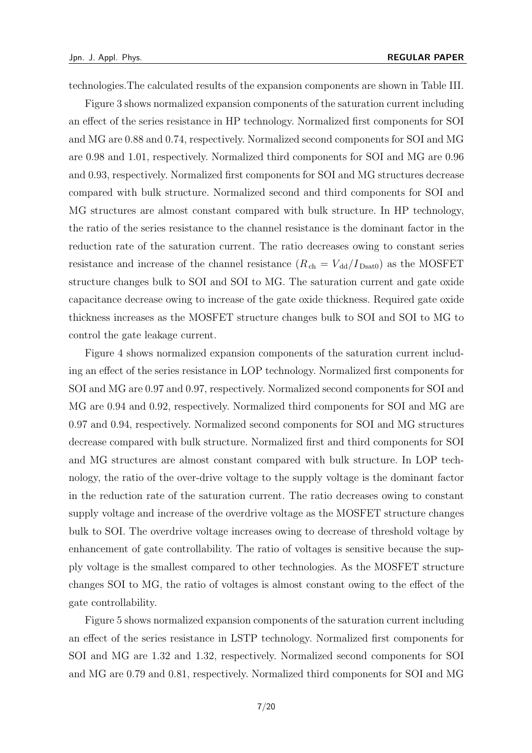technologies.The calculated results of the expansion components are shown in Table III.

Figure 3 shows normalized expansion components of the saturation current including an effect of the series resistance in HP technology. Normalized first components for SOI and MG are 0.88 and 0.74, respectively. Normalized second components for SOI and MG are 0.98 and 1.01, respectively. Normalized third components for SOI and MG are 0.96 and 0.93, respectively. Normalized first components for SOI and MG structures decrease compared with bulk structure. Normalized second and third components for SOI and MG structures are almost constant compared with bulk structure. In HP technology, the ratio of the series resistance to the channel resistance is the dominant factor in the reduction rate of the saturation current. The ratio decreases owing to constant series resistance and increase of the channel resistance  $(R_{ch} = V_{dd}/I_{Dsat0})$  as the MOSFET structure changes bulk to SOI and SOI to MG. The saturation current and gate oxide capacitance decrease owing to increase of the gate oxide thickness. Required gate oxide thickness increases as the MOSFET structure changes bulk to SOI and SOI to MG to control the gate leakage current.

Figure 4 shows normalized expansion components of the saturation current including an effect of the series resistance in LOP technology. Normalized first components for SOI and MG are 0.97 and 0.97, respectively. Normalized second components for SOI and MG are 0.94 and 0.92, respectively. Normalized third components for SOI and MG are 0.97 and 0.94, respectively. Normalized second components for SOI and MG structures decrease compared with bulk structure. Normalized first and third components for SOI and MG structures are almost constant compared with bulk structure. In LOP technology, the ratio of the over-drive voltage to the supply voltage is the dominant factor in the reduction rate of the saturation current. The ratio decreases owing to constant supply voltage and increase of the overdrive voltage as the MOSFET structure changes bulk to SOI. The overdrive voltage increases owing to decrease of threshold voltage by enhancement of gate controllability. The ratio of voltages is sensitive because the supply voltage is the smallest compared to other technologies. As the MOSFET structure changes SOI to MG, the ratio of voltages is almost constant owing to the effect of the gate controllability.

Figure 5 shows normalized expansion components of the saturation current including an effect of the series resistance in LSTP technology. Normalized first components for SOI and MG are 1.32 and 1.32, respectively. Normalized second components for SOI and MG are 0.79 and 0.81, respectively. Normalized third components for SOI and MG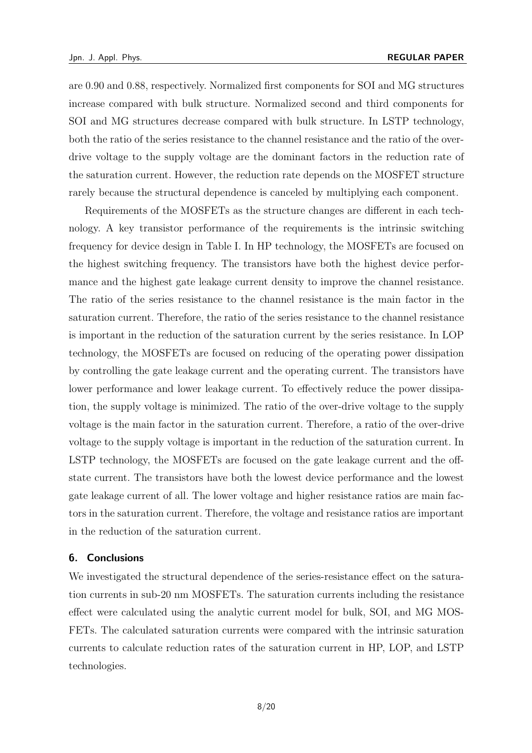are 0.90 and 0.88, respectively. Normalized first components for SOI and MG structures increase compared with bulk structure. Normalized second and third components for SOI and MG structures decrease compared with bulk structure. In LSTP technology, both the ratio of the series resistance to the channel resistance and the ratio of the overdrive voltage to the supply voltage are the dominant factors in the reduction rate of the saturation current. However, the reduction rate depends on the MOSFET structure rarely because the structural dependence is canceled by multiplying each component.

Requirements of the MOSFETs as the structure changes are different in each technology. A key transistor performance of the requirements is the intrinsic switching frequency for device design in Table I. In HP technology, the MOSFETs are focused on the highest switching frequency. The transistors have both the highest device performance and the highest gate leakage current density to improve the channel resistance. The ratio of the series resistance to the channel resistance is the main factor in the saturation current. Therefore, the ratio of the series resistance to the channel resistance is important in the reduction of the saturation current by the series resistance. In LOP technology, the MOSFETs are focused on reducing of the operating power dissipation by controlling the gate leakage current and the operating current. The transistors have lower performance and lower leakage current. To effectively reduce the power dissipation, the supply voltage is minimized. The ratio of the over-drive voltage to the supply voltage is the main factor in the saturation current. Therefore, a ratio of the over-drive voltage to the supply voltage is important in the reduction of the saturation current. In LSTP technology, the MOSFETs are focused on the gate leakage current and the offstate current. The transistors have both the lowest device performance and the lowest gate leakage current of all. The lower voltage and higher resistance ratios are main factors in the saturation current. Therefore, the voltage and resistance ratios are important in the reduction of the saturation current.

## **6. Conclusions**

We investigated the structural dependence of the series-resistance effect on the saturation currents in sub-20 nm MOSFETs. The saturation currents including the resistance effect were calculated using the analytic current model for bulk, SOI, and MG MOS-FETs. The calculated saturation currents were compared with the intrinsic saturation currents to calculate reduction rates of the saturation current in HP, LOP, and LSTP technologies.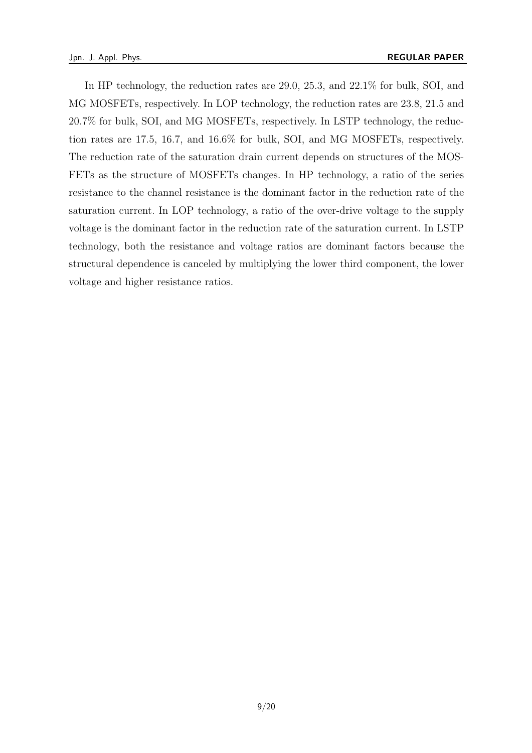In HP technology, the reduction rates are 29.0, 25.3, and 22.1% for bulk, SOI, and MG MOSFETs, respectively. In LOP technology, the reduction rates are 23.8, 21.5 and 20.7% for bulk, SOI, and MG MOSFETs, respectively. In LSTP technology, the reduction rates are 17.5, 16.7, and 16.6% for bulk, SOI, and MG MOSFETs, respectively. The reduction rate of the saturation drain current depends on structures of the MOS-FETs as the structure of MOSFETs changes. In HP technology, a ratio of the series resistance to the channel resistance is the dominant factor in the reduction rate of the saturation current. In LOP technology, a ratio of the over-drive voltage to the supply voltage is the dominant factor in the reduction rate of the saturation current. In LSTP technology, both the resistance and voltage ratios are dominant factors because the structural dependence is canceled by multiplying the lower third component, the lower voltage and higher resistance ratios.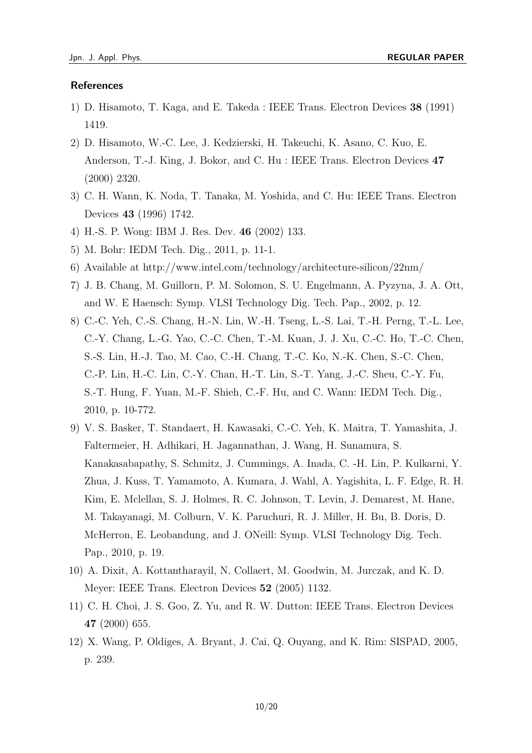## **References**

- 1) D. Hisamoto, T. Kaga, and E. Takeda : IEEE Trans. Electron Devices **38** (1991) 1419.
- 2) D. Hisamoto, W.-C. Lee, J. Kedzierski, H. Takeuchi, K. Asano, C. Kuo, E. Anderson, T.-J. King, J. Bokor, and C. Hu : IEEE Trans. Electron Devices **47** (2000) 2320.
- 3) C. H. Wann, K. Noda, T. Tanaka, M. Yoshida, and C. Hu: IEEE Trans. Electron Devices **43** (1996) 1742.
- 4) H.-S. P. Wong: IBM J. Res. Dev. **46** (2002) 133.
- 5) M. Bohr: IEDM Tech. Dig., 2011, p. 11-1.
- 6) Available at http://www.intel.com/technology/architecture-silicon/22nm/
- 7) J. B. Chang, M. Guillorn, P. M. Solomon, S. U. Engelmann, A. Pyzyna, J. A. Ott, and W. E Haensch: Symp. VLSI Technology Dig. Tech. Pap., 2002, p. 12.
- 8) C.-C. Yeh, C.-S. Chang, H.-N. Lin, W.-H. Tseng, L.-S. Lai, T.-H. Perng, T.-L. Lee, C.-Y. Chang, L.-G. Yao, C.-C. Chen, T.-M. Kuan, J. J. Xu, C.-C. Ho, T.-C. Chen, S.-S. Lin, H.-J. Tao, M. Cao, C.-H. Chang, T.-C. Ko, N.-K. Chen, S.-C. Chen, C.-P. Lin, H.-C. Lin, C.-Y. Chan, H.-T. Lin, S.-T. Yang, J.-C. Sheu, C.-Y. Fu, S.-T. Hung, F. Yuan, M.-F. Shieh, C.-F. Hu, and C. Wann: IEDM Tech. Dig., 2010, p. 10-772.
- 9) V. S. Basker, T. Standaert, H. Kawasaki, C.-C. Yeh, K. Maitra, T. Yamashita, J. Faltermeier, H. Adhikari, H. Jagannathan, J. Wang, H. Sunamura, S. Kanakasabapathy, S. Schmitz, J. Cummings, A. Inada, C. -H. Lin, P. Kulkarni, Y. Zhua, J. Kuss, T. Yamamoto, A. Kumara, J. Wahl, A. Yagishita, L. F. Edge, R. H. Kim, E. Mclellan, S. J. Holmes, R. C. Johnson, T. Levin, J. Demarest, M. Hane, M. Takayanagi, M. Colburn, V. K. Paruchuri, R. J. Miller, H. Bu, B. Doris, D. McHerron, E. Leobandung, and J. ONeill: Symp. VLSI Technology Dig. Tech. Pap., 2010, p. 19.
- 10) A. Dixit, A. Kottantharayil, N. Collaert, M. Goodwin, M. Jurczak, and K. D. Meyer: IEEE Trans. Electron Devices **52** (2005) 1132.
- 11) C. H. Choi, J. S. Goo, Z. Yu, and R. W. Dutton: IEEE Trans. Electron Devices **47** (2000) 655.
- 12) X. Wang, P. Oldiges, A. Bryant, J. Cai, Q. Ouyang, and K. Rim: SISPAD, 2005, p. 239.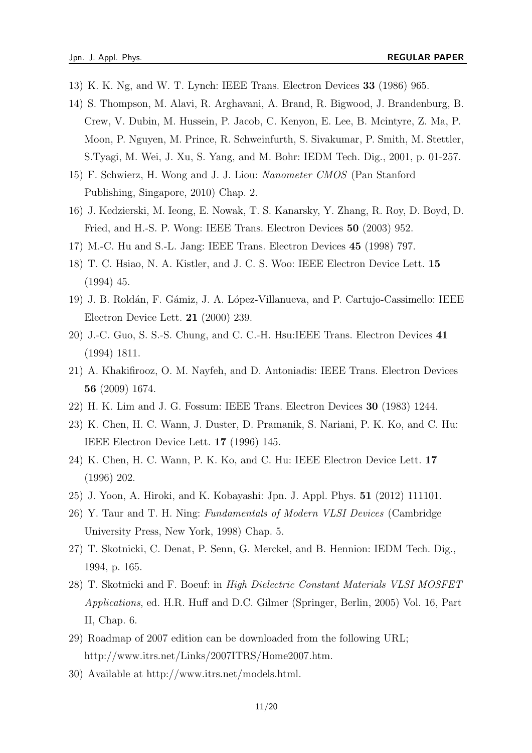- 13) K. K. Ng, and W. T. Lynch: IEEE Trans. Electron Devices **33** (1986) 965.
- 14) S. Thompson, M. Alavi, R. Arghavani, A. Brand, R. Bigwood, J. Brandenburg, B. Crew, V. Dubin, M. Hussein, P. Jacob, C. Kenyon, E. Lee, B. Mcintyre, Z. Ma, P. Moon, P. Nguyen, M. Prince, R. Schweinfurth, S. Sivakumar, P. Smith, M. Stettler, S.Tyagi, M. Wei, J. Xu, S. Yang, and M. Bohr: IEDM Tech. Dig., 2001, p. 01-257.
- 15) F. Schwierz, H. Wong and J. J. Liou: *Nanometer CMOS* (Pan Stanford Publishing, Singapore, 2010) Chap. 2.
- 16) J. Kedzierski, M. Ieong, E. Nowak, T. S. Kanarsky, Y. Zhang, R. Roy, D. Boyd, D. Fried, and H.-S. P. Wong: IEEE Trans. Electron Devices **50** (2003) 952.
- 17) M.-C. Hu and S.-L. Jang: IEEE Trans. Electron Devices **45** (1998) 797.
- 18) T. C. Hsiao, N. A. Kistler, and J. C. S. Woo: IEEE Electron Device Lett. **15** (1994) 45.
- 19) J. B. Roldán, F. Gámiz, J. A. López-Villanueva, and P. Cartujo-Cassimello: IEEE Electron Device Lett. **21** (2000) 239.
- 20) J.-C. Guo, S. S.-S. Chung, and C. C.-H. Hsu:IEEE Trans. Electron Devices **41** (1994) 1811.
- 21) A. Khakifirooz, O. M. Nayfeh, and D. Antoniadis: IEEE Trans. Electron Devices **56** (2009) 1674.
- 22) H. K. Lim and J. G. Fossum: IEEE Trans. Electron Devices **30** (1983) 1244.
- 23) K. Chen, H. C. Wann, J. Duster, D. Pramanik, S. Nariani, P. K. Ko, and C. Hu: IEEE Electron Device Lett. **17** (1996) 145.
- 24) K. Chen, H. C. Wann, P. K. Ko, and C. Hu: IEEE Electron Device Lett. **17** (1996) 202.
- 25) J. Yoon, A. Hiroki, and K. Kobayashi: Jpn. J. Appl. Phys. **51** (2012) 111101.
- 26) Y. Taur and T. H. Ning: *Fundamentals of Modern VLSI Devices* (Cambridge University Press, New York, 1998) Chap. 5.
- 27) T. Skotnicki, C. Denat, P. Senn, G. Merckel, and B. Hennion: IEDM Tech. Dig., 1994, p. 165.
- 28) T. Skotnicki and F. Boeuf: in *High Dielectric Constant Materials VLSI MOSFET Applications*, ed. H.R. Huff and D.C. Gilmer (Springer, Berlin, 2005) Vol. 16, Part II, Chap. 6.
- 29) Roadmap of 2007 edition can be downloaded from the following URL; http://www.itrs.net/Links/2007ITRS/Home2007.htm.
- 30) Available at http://www.itrs.net/models.html.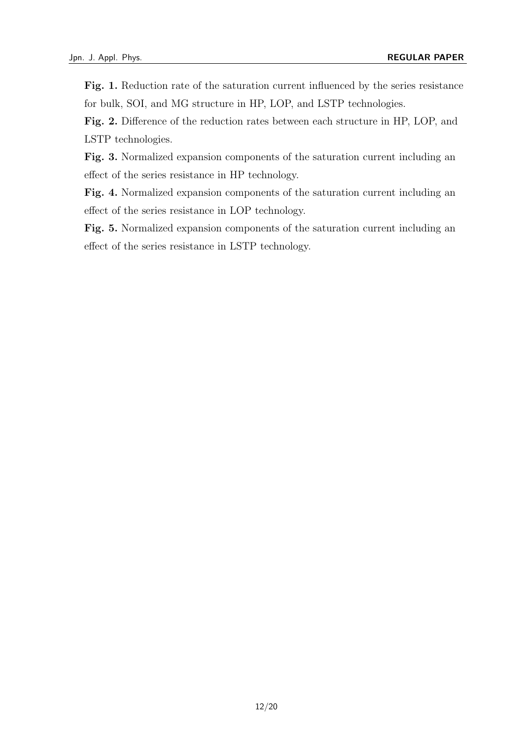Fig. 1. Reduction rate of the saturation current influenced by the series resistance for bulk, SOI, and MG structure in HP, LOP, and LSTP technologies.

**Fig. 2.** Difference of the reduction rates between each structure in HP, LOP, and LSTP technologies.

**Fig. 3.** Normalized expansion components of the saturation current including an effect of the series resistance in HP technology.

**Fig. 4.** Normalized expansion components of the saturation current including an effect of the series resistance in LOP technology.

**Fig. 5.** Normalized expansion components of the saturation current including an effect of the series resistance in LSTP technology.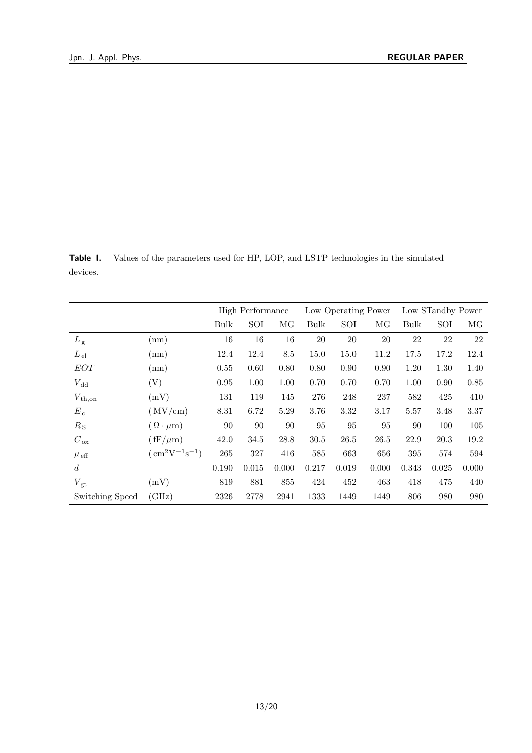**Table I.** Values of the parameters used for HP, LOP, and LSTP technologies in the simulated devices.

|                  |                                                             | High Performance |       |       | Low Operating Power |       |       | Low STandby Power |       |       |
|------------------|-------------------------------------------------------------|------------------|-------|-------|---------------------|-------|-------|-------------------|-------|-------|
|                  |                                                             | <b>Bulk</b>      | SOI   | MG    | Bulk                | SOI   | MG    | Bulk              | SOI   | MG    |
| $L_{\rm g}$      | (nm)                                                        | 16               | 16    | 16    | 20                  | 20    | 20    | 22                | 22    | 22    |
| $L_{\rm el}$     | (nm)                                                        | 12.4             | 12.4  | 8.5   | 15.0                | 15.0  | 11.2  | 17.5              | 17.2  | 12.4  |
| EOT              | (nm)                                                        | 0.55             | 0.60  | 0.80  | 0.80                | 0.90  | 0.90  | 1.20              | 1.30  | 1.40  |
| $V_{\rm dd}$     | (V)                                                         | 0.95             | 1.00  | 1.00  | 0.70                | 0.70  | 0.70  | 1.00              | 0.90  | 0.85  |
| $V_{\rm th,on}$  | (mV)                                                        | 131              | 119   | 145   | 276                 | 248   | 237   | 582               | 425   | 410   |
| $E_c$            | (MV/cm)                                                     | 8.31             | 6.72  | 5.29  | 3.76                | 3.32  | 3.17  | 5.57              | 3.48  | 3.37  |
| $R_{\rm S}$      | $(\Omega \cdot \mu m)$                                      | 90               | 90    | 90    | 95                  | 95    | 95    | 90                | 100   | 105   |
| $C_{\rm ox}$     | $(\text{fF}/\mu\text{m})$                                   | 42.0             | 34.5  | 28.8  | 30.5                | 26.5  | 26.5  | 22.9              | 20.3  | 19.2  |
| $\mu$ eff        | $\left( \text{ cm}^{2} \text{V}^{-1} \text{s}^{-1} \right)$ | 265              | 327   | 416   | 585                 | 663   | 656   | 395               | 574   | 594   |
| $\boldsymbol{d}$ |                                                             | 0.190            | 0.015 | 0.000 | 0.217               | 0.019 | 0.000 | 0.343             | 0.025 | 0.000 |
| $V_{\rm gt}$     | (mV)                                                        | 819              | 881   | 855   | 424                 | 452   | 463   | 418               | 475   | 440   |
| Switching Speed  | (GHz)                                                       | 2326             | 2778  | 2941  | 1333                | 1449  | 1449  | 806               | 980   | 980   |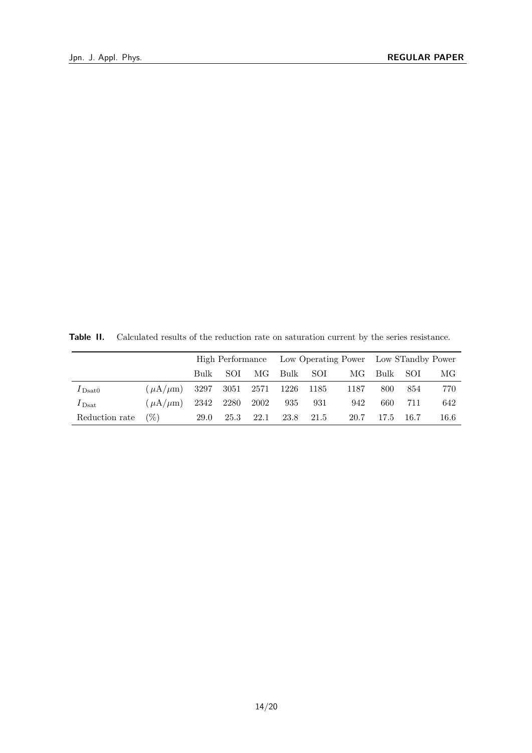**Table II.** Calculated results of the reduction rate on saturation current by the series resistance.

|                   |                 |      |            |           | High Performance Low Operating Power Low STandby Power |      |      |      |      |      |
|-------------------|-----------------|------|------------|-----------|--------------------------------------------------------|------|------|------|------|------|
|                   |                 | Bulk | <b>SOI</b> | MG        | Bulk                                                   | SOI  | MG   | Bulk | SOI  | МG   |
| $I_{\text{Dsat}}$ | $(\mu A/\mu m)$ | 3297 |            | 3051 2571 | 1226 1185                                              |      | 1187 | 800  | 854  | 770  |
| $I_{\text{Dsat}}$ | $(\mu A/\mu m)$ | 2342 | 2280       | 2002      | 935                                                    | 931  | 942  | 660  | 711  | 642  |
| Reduction rate    | $(\%)$          | 29.0 | 25.3       | 22.1      | 23.8                                                   | 21.5 | 20.7 | 17.5 | 16.7 | 16.6 |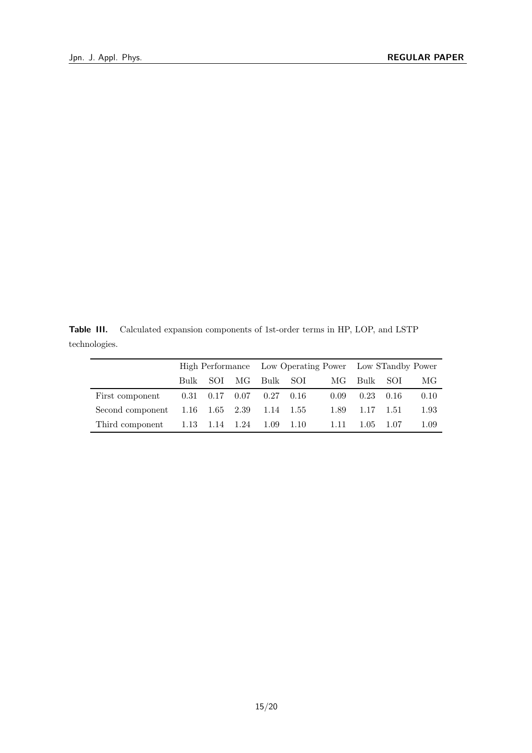**Table III.** Calculated expansion components of 1st-order terms in HP, LOP, and LSTP technologies.

|                                                     |          |  |  |                                    |      | High Performance Low Operating Power Low STandby Power |         |      |
|-----------------------------------------------------|----------|--|--|------------------------------------|------|--------------------------------------------------------|---------|------|
|                                                     | Bulk SOI |  |  | MG Bulk SOI                        | MG   | Bulk SOI                                               |         | МG   |
| First component                                     |          |  |  | $0.31$ $0.17$ $0.07$ $0.27$ $0.16$ | 0.09 | 0.23                                                   | $-0.16$ | 0.10 |
| Second component $1.16$ $1.65$ $2.39$ $1.14$ $1.55$ |          |  |  |                                    | 1.89 | 1.17                                                   | 1.51    | 1.93 |
| Third component $1.13$ $1.14$ $1.24$ $1.09$ $1.10$  |          |  |  |                                    | 1.11 | 1.05                                                   | -1.07   | 1.09 |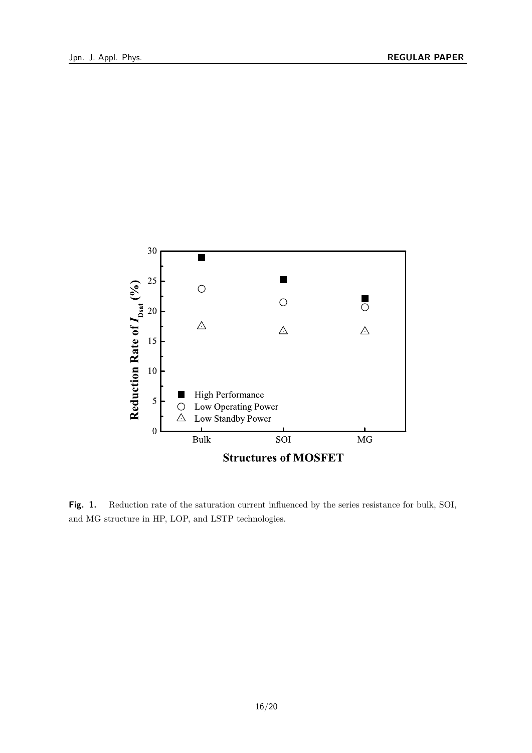

Fig. 1. Reduction rate of the saturation current influenced by the series resistance for bulk, SOI, and MG structure in HP, LOP, and LSTP technologies.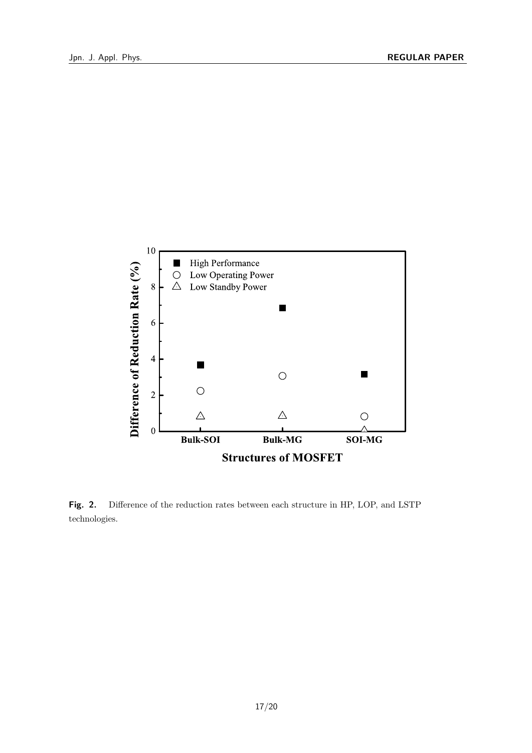

**Fig. 2.** Difference of the reduction rates between each structure in HP, LOP, and LSTP technologies.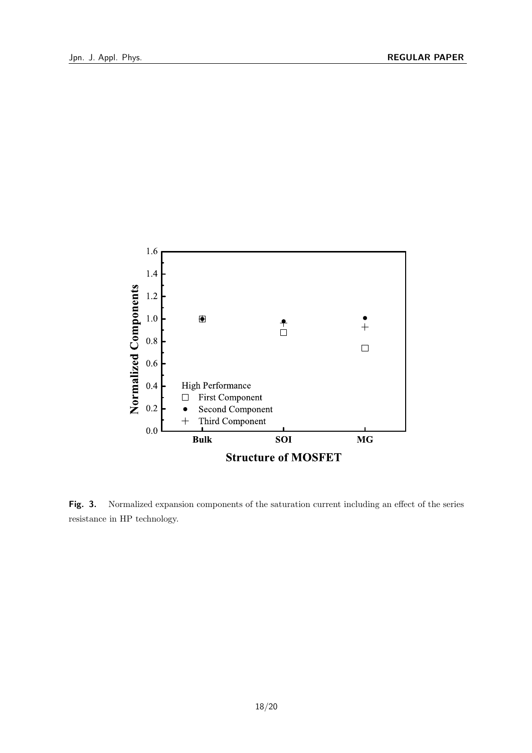

**Fig. 3.** Normalized expansion components of the saturation current including an effect of the series resistance in HP technology.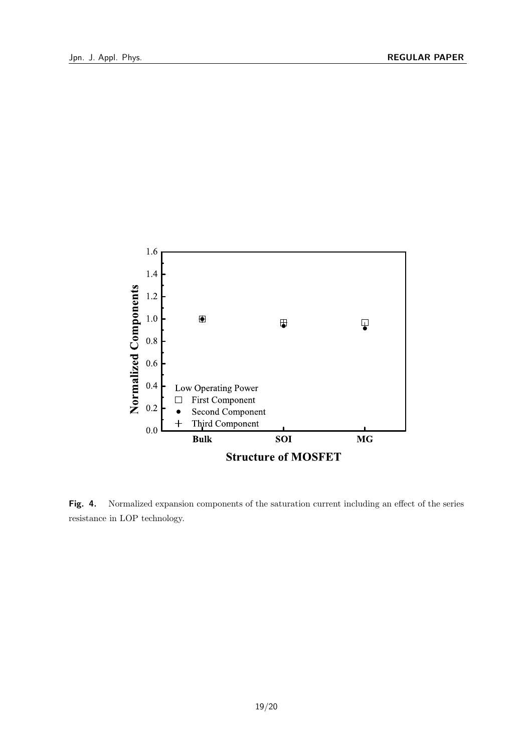

**Fig. 4.** Normalized expansion components of the saturation current including an effect of the series resistance in LOP technology.